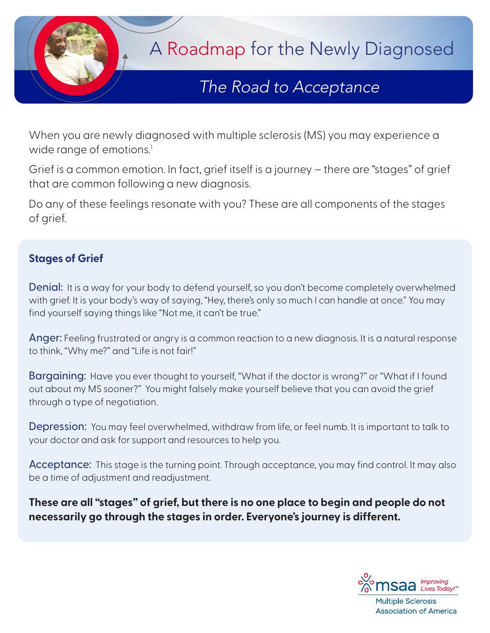

## *The Road to Acceptance The Road to Acceptance*

When you are newly diagnosed with multiple sclerosis (MS) you may experience a wide range of emotions.<sup>1</sup>

Grief is a common emotion. In fact, grief itself is a journey – there are "stages" of grief that are common following a new diagnosis.

Do any of these feelings resonate with you? These are all components of the stages of grief.

## **Stages of Grief**

Denial: It is a way for your body to defend yourself, so you don't become completely overwhelmed with grief. It is your body's way of saying, "Hey, there's only so much I can handle at once." You may find yourself saying things like "Not me, it can't be true."

Anger: Feeling frustrated or angry is a common reaction to a new diagnosis. It is a natural response to think, "Why me?" and "Life is not fair!"

**Bargaining:** Have you ever thought to yourself, "What if the doctor is wrong?" or "What if I found out about my MS sooner?" You might falsely make yourself believe that you can avoid the grief through a type of negotiation.

Depression: You may feel overwhelmed, withdraw from life, or feel numb. It is important to talk to your doctor and ask for support and resources to help you.

Acceptance: This stage is the turning point. Through acceptance, you may find control. It may also be a time of adjustment and readjustment.

**These are all "stages" of grief, but there is no one place to begin and people do not necessarily go through the stages in order. Everyone's journey is different.**



**Multiple Sclerosis Association of America**